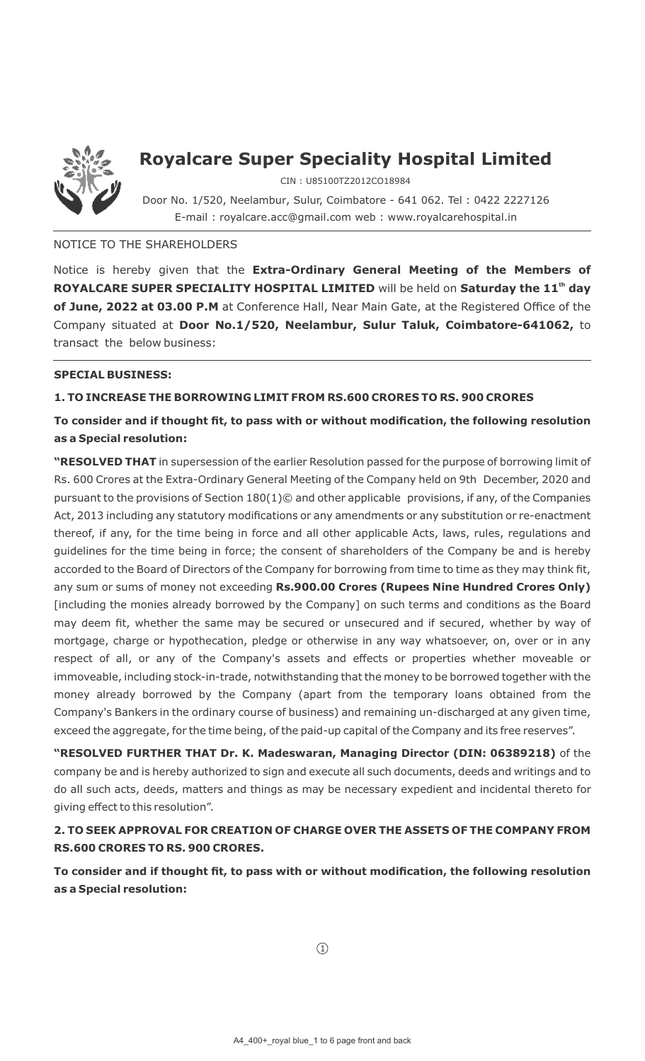

## **Royalcare Super Speciality Hospital Limited**

CIN : U85100TZ2012CO18984

Door No. 1/520, Neelambur, Sulur, Coimbatore - 641 062. Tel : 0422 2227126 E-mail : royalcare.acc@gmail.com web : www.royalcarehospital.in

#### NOTICE TO THE SHAREHOLDERS

Notice is hereby given that the **Extra-Ordinary General Meeting of the Members of ROYALCARE SUPER SPECIALITY HOSPITAL LIMITED** will be held on **Saturday the 11<sup>th</sup> day of June, 2022 at 03.00 P.M** at Conference Hall, Near Main Gate, at the Registered Office of the Company situated at **Door No.1/520, Neelambur, Sulur Taluk, Coimbatore-641062,** to transact the below business:

#### **SPECIAL BUSINESS:**

#### **1. TO INCREASE THE BORROWING LIMIT FROM RS.600 CRORES TO RS. 900 CRORES**

## **To consider and if thought fit, to pass with or without modification, the following resolution as a Special resolution:**

**"RESOLVED THAT** in supersession of the earlier Resolution passed for the purpose of borrowing limit of Rs. 600 Crores at the Extra-Ordinary General Meeting of the Company held on 9th December, 2020 and pursuant to the provisions of Section 180(1)© and other applicable provisions, if any, of the Companies Act, 2013 including any statutory modifications or any amendments or any substitution or re-enactment thereof, if any, for the time being in force and all other applicable Acts, laws, rules, regulations and guidelines for the time being in force; the consent of shareholders of the Company be and is hereby accorded to the Board of Directors of the Company for borrowing from time to time as they may think fit, any sum or sums of money not exceeding **Rs.900.00 Crores (Rupees Nine Hundred Crores Only)** [including the monies already borrowed by the Company] on such terms and conditions as the Board may deem fit, whether the same may be secured or unsecured and if secured, whether by way of mortgage, charge or hypothecation, pledge or otherwise in any way whatsoever, on, over or in any respect of all, or any of the Company's assets and effects or properties whether moveable or immoveable, including stock-in-trade, notwithstanding that the money to be borrowed together with the money already borrowed by the Company (apart from the temporary loans obtained from the Company's Bankers in the ordinary course of business) and remaining un-discharged at any given time, exceed the aggregate, for the time being, of the paid-up capital of the Company and its free reserves".

**"RESOLVED FURTHER THAT Dr. K. Madeswaran, Managing Director (DIN: 06389218)** of the company be and is hereby authorized to sign and execute all such documents, deeds and writings and to do all such acts, deeds, matters and things as may be necessary expedient and incidental thereto for giving effect to this resolution".

## **2. TO SEEK APPROVAL FOR CREATION OF CHARGE OVER THE ASSETS OF THE COMPANY FROM RS.600 CRORES TO RS. 900 CRORES.**

**To consider and if thought fit, to pass with or without modification, the following resolution as a Special resolution:**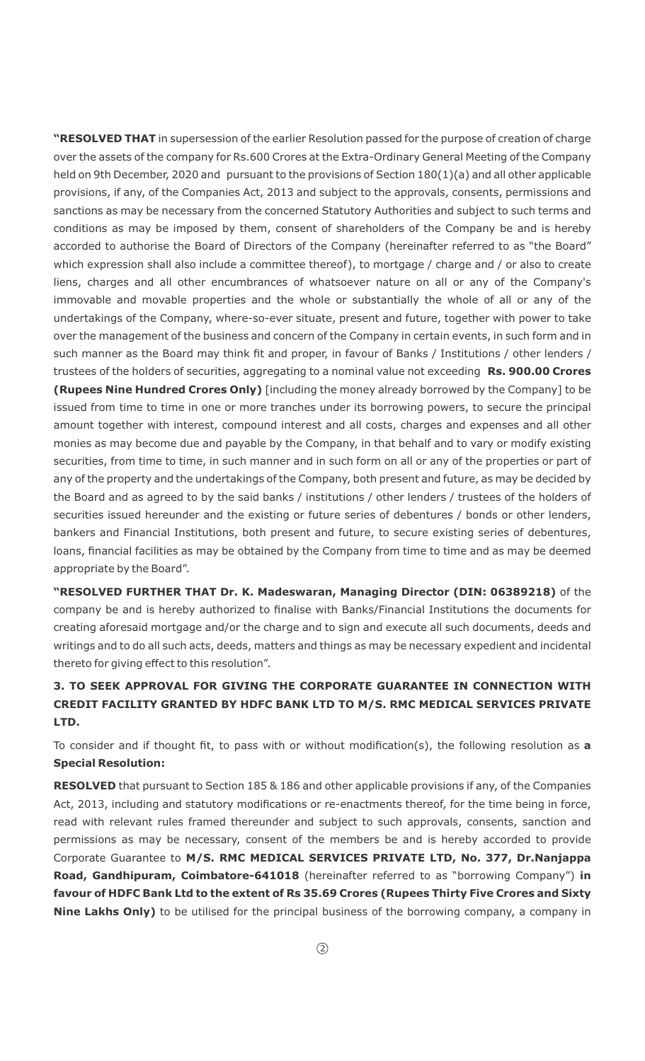**"RESOLVED THAT** in supersession of the earlier Resolution passed for the purpose of creation of charge over the assets of the company for Rs.600 Crores at the Extra-Ordinary General Meeting of the Company held on 9th December, 2020 and pursuant to the provisions of Section 180(1)(a) and all other applicable provisions, if any, of the Companies Act, 2013 and subject to the approvals, consents, permissions and sanctions as may be necessary from the concerned Statutory Authorities and subject to such terms and conditions as may be imposed by them, consent of shareholders of the Company be and is hereby accorded to authorise the Board of Directors of the Company (hereinafter referred to as "the Board" which expression shall also include a committee thereof), to mortgage / charge and / or also to create liens, charges and all other encumbrances of whatsoever nature on all or any of the Company's immovable and movable properties and the whole or substantially the whole of all or any of the undertakings of the Company, where-so-ever situate, present and future, together with power to take over the management of the business and concern of the Company in certain events, in such form and in such manner as the Board may think fit and proper, in favour of Banks / Institutions / other lenders / trustees of the holders of securities, aggregating to a nominal value not exceeding **Rs. 900.00 Crores (Rupees Nine Hundred Crores Only)** [including the money already borrowed by the Company] to be issued from time to time in one or more tranches under its borrowing powers, to secure the principal amount together with interest, compound interest and all costs, charges and expenses and all other monies as may become due and payable by the Company, in that behalf and to vary or modify existing securities, from time to time, in such manner and in such form on all or any of the properties or part of any of the property and the undertakings of the Company, both present and future, as may be decided by the Board and as agreed to by the said banks / institutions / other lenders / trustees of the holders of securities issued hereunder and the existing or future series of debentures / bonds or other lenders, bankers and Financial Institutions, both present and future, to secure existing series of debentures, loans, financial facilities as may be obtained by the Company from time to time and as may be deemed appropriate by the Board".

**"RESOLVED FURTHER THAT Dr. K. Madeswaran, Managing Director (DIN: 06389218)** of the company be and is hereby authorized to finalise with Banks/Financial Institutions the documents for creating aforesaid mortgage and/or the charge and to sign and execute all such documents, deeds and writings and to do all such acts, deeds, matters and things as may be necessary expedient and incidental thereto for giving effect to this resolution".

## **3. TO SEEK APPROVAL FOR GIVING THE CORPORATE GUARANTEE IN CONNECTION WITH CREDIT FACILITY GRANTED BY HDFC BANK LTD TO M/S. RMC MEDICAL SERVICES PRIVATE LTD.**

To consider and if thought fit, to pass with or without modification(s), the following resolution as **a Special Resolution:**

**RESOLVED** that pursuant to Section 185 & 186 and other applicable provisions if any, of the Companies Act, 2013, including and statutory modifications or re-enactments thereof, for the time being in force, read with relevant rules framed thereunder and subject to such approvals, consents, sanction and permissions as may be necessary, consent of the members be and is hereby accorded to provide Corporate Guarantee to **M/S. RMC MEDICAL SERVICES PRIVATE LTD, No. 377, Dr.Nanjappa Road, Gandhipuram, Coimbatore-641018** (hereinafter referred to as "borrowing Company") **in favour of HDFC Bank Ltd to the extent of Rs 35.69 Crores (Rupees Thirty Five Crores and Sixty Nine Lakhs Only)** to be utilised for the principal business of the borrowing company, a company in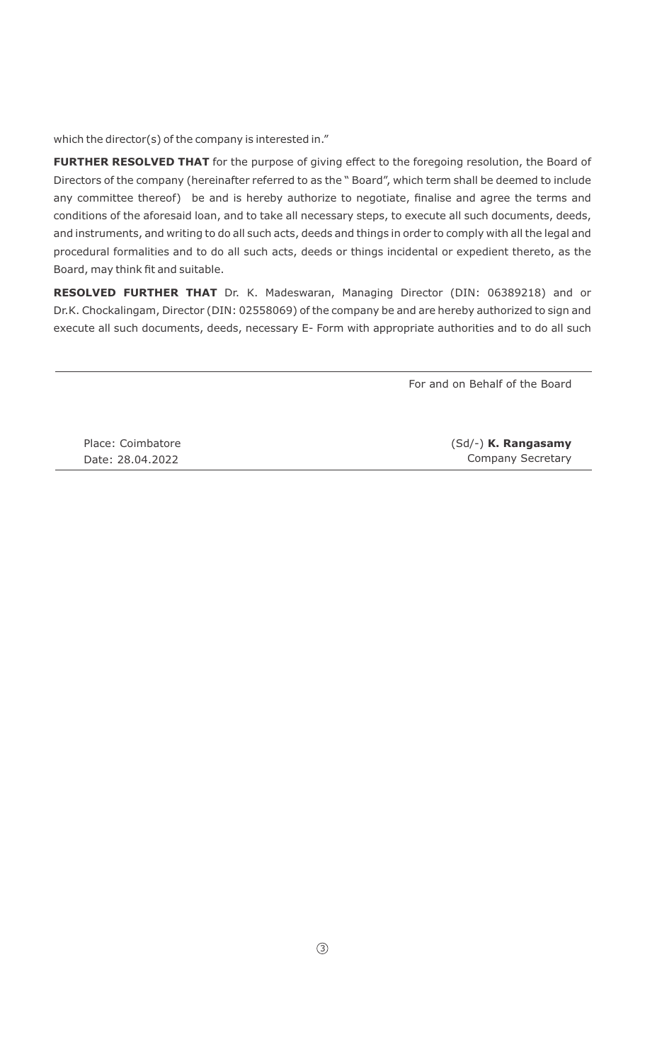which the director(s) of the company is interested in."

**FURTHER RESOLVED THAT** for the purpose of giving effect to the foregoing resolution, the Board of Directors of the company (hereinafter referred to as the " Board", which term shall be deemed to include any committee thereof) be and is hereby authorize to negotiate, finalise and agree the terms and conditions of the aforesaid loan, and to take all necessary steps, to execute all such documents, deeds, and instruments, and writing to do all such acts, deeds and things in order to comply with all the legal and procedural formalities and to do all such acts, deeds or things incidental or expedient thereto, as the Board, may think fit and suitable.

**RESOLVED FURTHER THAT** Dr. K. Madeswaran, Managing Director (DIN: 06389218) and or Dr.K. Chockalingam, Director (DIN: 02558069) of the company be and are hereby authorized to sign and execute all such documents, deeds, necessary E- Form with appropriate authorities and to do all such

For and on Behalf of the Board

Place: Coimbatore Date: 28.04.2022

(Sd/-) **K. Rangasamy** Company Secretary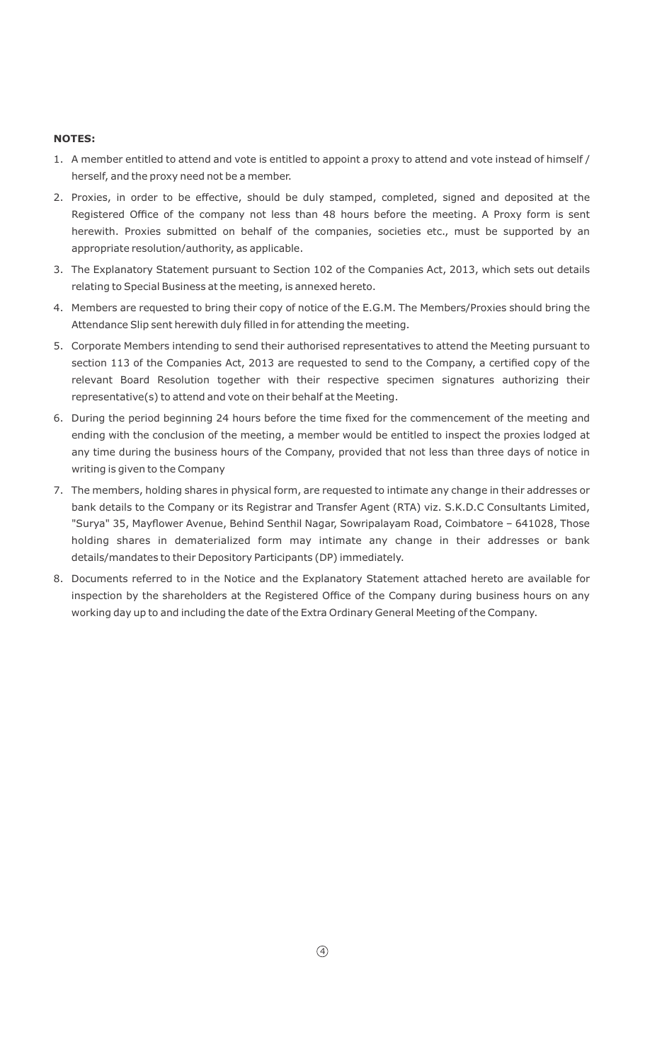#### **NOTES:**

- 1. A member entitled to attend and vote is entitled to appoint a proxy to attend and vote instead of himself / herself, and the proxy need not be a member.
- 2. Proxies, in order to be effective, should be duly stamped, completed, signed and deposited at the Registered Office of the company not less than 48 hours before the meeting. A Proxy form is sent herewith. Proxies submitted on behalf of the companies, societies etc., must be supported by an appropriate resolution/authority, as applicable.
- 3. The Explanatory Statement pursuant to Section 102 of the Companies Act, 2013, which sets out details relating to Special Business at the meeting, is annexed hereto.
- 4. Members are requested to bring their copy of notice of the E.G.M. The Members/Proxies should bring the Attendance Slip sent herewith duly filled in for attending the meeting.
- 5. Corporate Members intending to send their authorised representatives to attend the Meeting pursuant to section 113 of the Companies Act, 2013 are requested to send to the Company, a certified copy of the relevant Board Resolution together with their respective specimen signatures authorizing their representative(s) to attend and vote on their behalf at the Meeting.
- 6. During the period beginning 24 hours before the time fixed for the commencement of the meeting and ending with the conclusion of the meeting, a member would be entitled to inspect the proxies lodged at any time during the business hours of the Company, provided that not less than three days of notice in writing is given to the Company
- 7. The members, holding shares in physical form, are requested to intimate any change in their addresses or bank details to the Company or its Registrar and Transfer Agent (RTA) viz. S.K.D.C Consultants Limited, "Surya" 35, Mayflower Avenue, Behind Senthil Nagar, Sowripalayam Road, Coimbatore – 641028, Those holding shares in dematerialized form may intimate any change in their addresses or bank details/mandates to their Depository Participants (DP) immediately.
- 8. Documents referred to in the Notice and the Explanatory Statement attached hereto are available for inspection by the shareholders at the Registered Office of the Company during business hours on any working day up to and including the date of the Extra Ordinary General Meeting of the Company.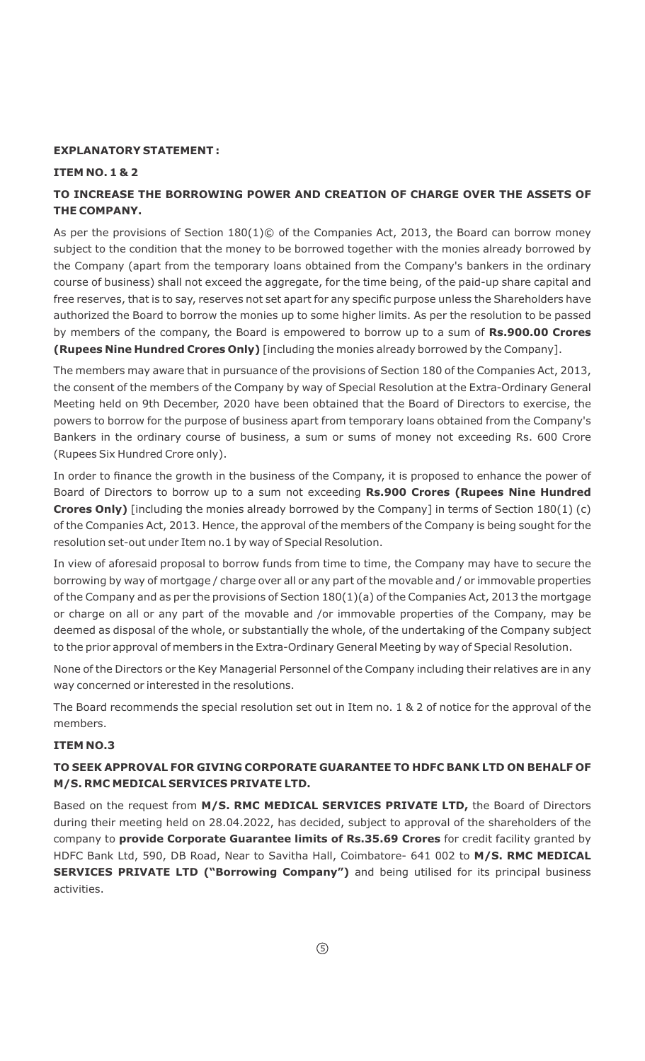#### **EXPLANATORY STATEMENT :**

#### **ITEM NO. 1 & 2**

## **TO INCREASE THE BORROWING POWER AND CREATION OF CHARGE OVER THE ASSETS OF THE COMPANY.**

As per the provisions of Section 180(1)© of the Companies Act, 2013, the Board can borrow money subject to the condition that the money to be borrowed together with the monies already borrowed by the Company (apart from the temporary loans obtained from the Company's bankers in the ordinary course of business) shall not exceed the aggregate, for the time being, of the paid-up share capital and free reserves, that is to say, reserves not set apart for any specific purpose unless the Shareholders have authorized the Board to borrow the monies up to some higher limits. As per the resolution to be passed by members of the company, the Board is empowered to borrow up to a sum of **Rs.900.00 Crores (Rupees Nine Hundred Crores Only)** [including the monies already borrowed by the Company].

The members may aware that in pursuance of the provisions of Section 180 of the Companies Act, 2013, the consent of the members of the Company by way of Special Resolution at the Extra-Ordinary General Meeting held on 9th December, 2020 have been obtained that the Board of Directors to exercise, the powers to borrow for the purpose of business apart from temporary loans obtained from the Company's Bankers in the ordinary course of business, a sum or sums of money not exceeding Rs. 600 Crore (Rupees Six Hundred Crore only).

In order to finance the growth in the business of the Company, it is proposed to enhance the power of Board of Directors to borrow up to a sum not exceeding **Rs.900 Crores (Rupees Nine Hundred Crores Only)** [including the monies already borrowed by the Company] in terms of Section 180(1) (c) of the Companies Act, 2013. Hence, the approval of the members of the Company is being sought for the resolution set-out under Item no.1 by way of Special Resolution.

In view of aforesaid proposal to borrow funds from time to time, the Company may have to secure the borrowing by way of mortgage / charge over all or any part of the movable and / or immovable properties of the Company and as per the provisions of Section 180(1)(a) of the Companies Act, 2013 the mortgage or charge on all or any part of the movable and /or immovable properties of the Company, may be deemed as disposal of the whole, or substantially the whole, of the undertaking of the Company subject to the prior approval of members in the Extra-Ordinary General Meeting by way of Special Resolution.

None of the Directors or the Key Managerial Personnel of the Company including their relatives are in any way concerned or interested in the resolutions.

The Board recommends the special resolution set out in Item no. 1 & 2 of notice for the approval of the members.

#### **ITEM NO.3**

## **TO SEEK APPROVAL FOR GIVING CORPORATE GUARANTEE TO HDFC BANK LTD ON BEHALF OF M/S. RMC MEDICAL SERVICES PRIVATE LTD.**

Based on the request from **M/S. RMC MEDICAL SERVICES PRIVATE LTD,** the Board of Directors during their meeting held on 28.04.2022, has decided, subject to approval of the shareholders of the company to **provide Corporate Guarantee limits of Rs.35.69 Crores** for credit facility granted by HDFC Bank Ltd, 590, DB Road, Near to Savitha Hall, Coimbatore- 641 002 to **M/S. RMC MEDICAL SERVICES PRIVATE LTD ("Borrowing Company")** and being utilised for its principal business activities.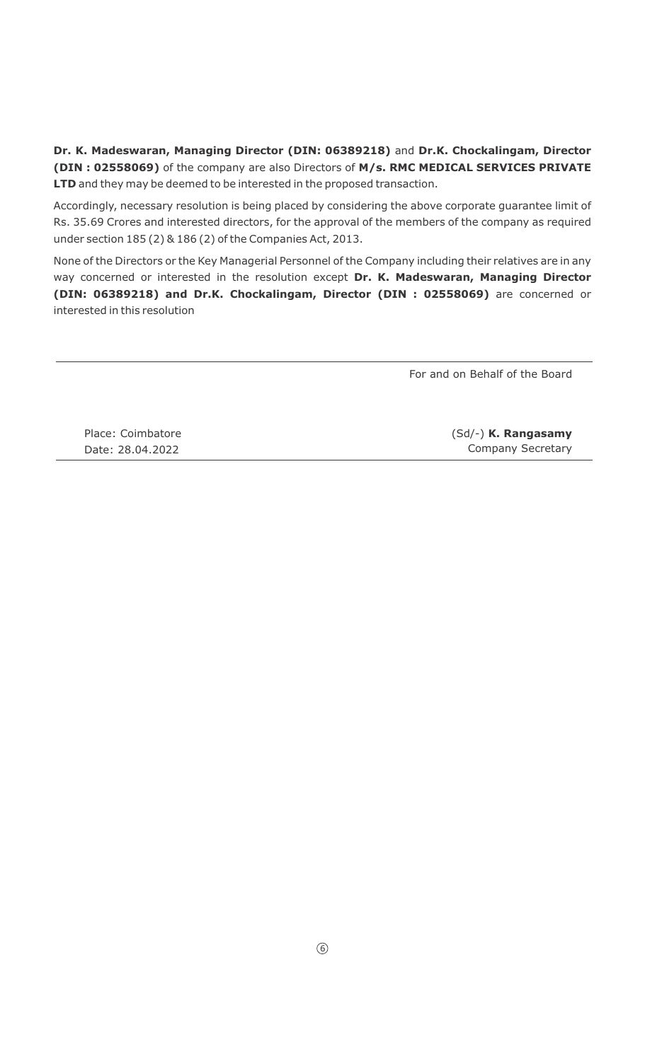**Dr. K. Madeswaran, Managing Director (DIN: 06389218)** and **Dr.K. Chockalingam, Director (DIN : 02558069)** of the company are also Directors of **M/s. RMC MEDICAL SERVICES PRIVATE LTD** and they may be deemed to be interested in the proposed transaction.

Accordingly, necessary resolution is being placed by considering the above corporate guarantee limit of Rs. 35.69 Crores and interested directors, for the approval of the members of the company as required under section 185 (2) & 186 (2) of the Companies Act, 2013.

None of the Directors or the Key Managerial Personnel of the Company including their relatives are in any way concerned or interested in the resolution except **Dr. K. Madeswaran, Managing Director (DIN: 06389218) and Dr.K. Chockalingam, Director (DIN : 02558069)** are concerned or interested in this resolution

For and on Behalf of the Board

Place: Coimbatore Date: 28.04.2022

(Sd/-) **K. Rangasamy** Company Secretary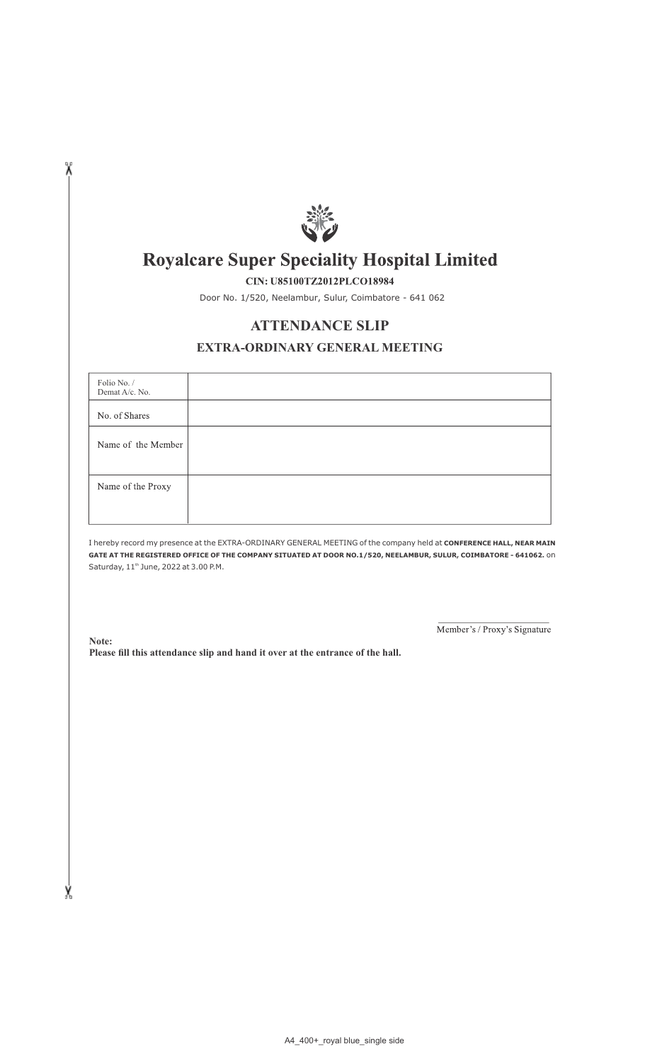

# **Royalcare Super Speciality Hospital Limited**

CIN: U85100TZ2012PLCO18984

Door No. 1/520, Neelambur, Sulur, Coimbatore - 641 062

## **ATTENDANCE SLIP**

### **EXTRA-ORDINARY GENERAL MEETING**

| Folio No. /<br>Demat A/c. No. |  |
|-------------------------------|--|
| No. of Shares                 |  |
| Name of the Member            |  |
|                               |  |
| Name of the Proxy             |  |
|                               |  |
|                               |  |

I hereby record my presence at the EXTRA-ORDINARY GENERAL MEETING of the company held at **CONFERENCE HALL, NEAR MAIN GATE AT THE REGISTERED OFFICE OF THE COMPANY SITUATED AT DOOR NO.1/520, NEELAMBUR, SULUR, COIMBATORE - 641062.** on Saturday,  $11<sup>th</sup>$  June, 2022 at 3.00 P.M.

Member's / Proxy's Signature

**Please fill this attendance slip and hand it over at the entrance of the hall. Note:**

X

X